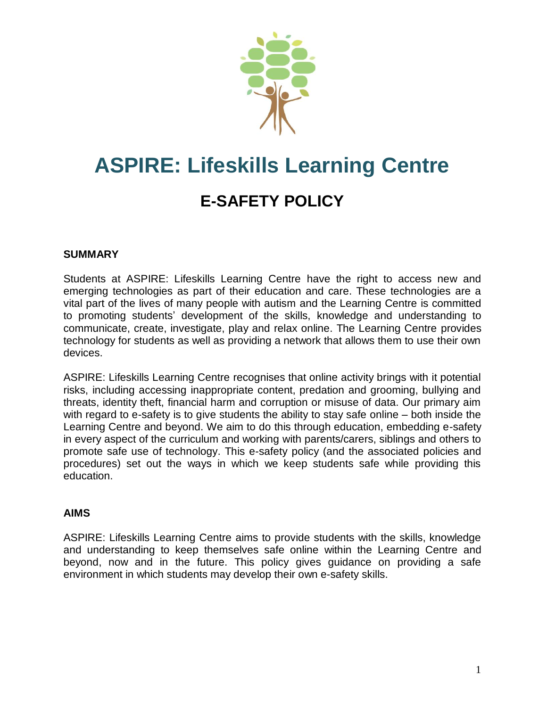

# **ASPIRE: Lifeskills Learning Centre E-SAFETY POLICY**

#### **SUMMARY**

Students at ASPIRE: Lifeskills Learning Centre have the right to access new and emerging technologies as part of their education and care. These technologies are a vital part of the lives of many people with autism and the Learning Centre is committed to promoting students' development of the skills, knowledge and understanding to communicate, create, investigate, play and relax online. The Learning Centre provides technology for students as well as providing a network that allows them to use their own devices.

ASPIRE: Lifeskills Learning Centre recognises that online activity brings with it potential risks, including accessing inappropriate content, predation and grooming, bullying and threats, identity theft, financial harm and corruption or misuse of data. Our primary aim with regard to e-safety is to give students the ability to stay safe online – both inside the Learning Centre and beyond. We aim to do this through education, embedding e-safety in every aspect of the curriculum and working with parents/carers, siblings and others to promote safe use of technology. This e-safety policy (and the associated policies and procedures) set out the ways in which we keep students safe while providing this education.

#### **AIMS**

ASPIRE: Lifeskills Learning Centre aims to provide students with the skills, knowledge and understanding to keep themselves safe online within the Learning Centre and beyond, now and in the future. This policy gives guidance on providing a safe environment in which students may develop their own e-safety skills.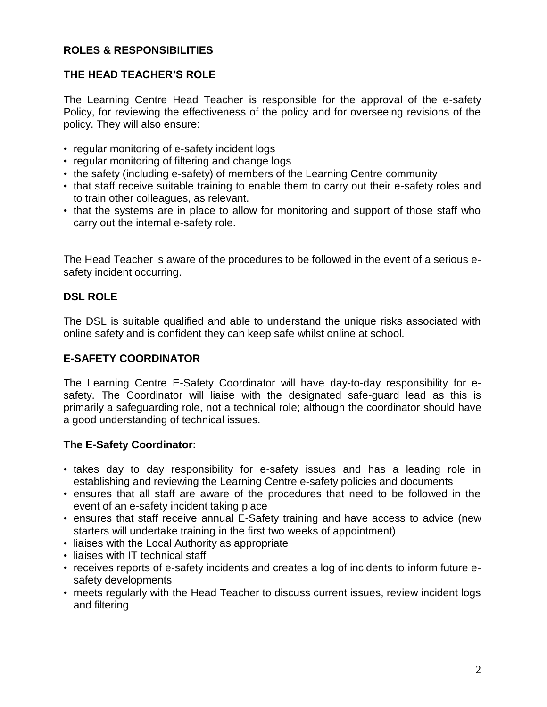#### **ROLES & RESPONSIBILITIES**

#### **THE HEAD TEACHER'S ROLE**

The Learning Centre Head Teacher is responsible for the approval of the e-safety Policy, for reviewing the effectiveness of the policy and for overseeing revisions of the policy. They will also ensure:

- regular monitoring of e-safety incident logs
- regular monitoring of filtering and change logs
- the safety (including e-safety) of members of the Learning Centre community
- that staff receive suitable training to enable them to carry out their e-safety roles and to train other colleagues, as relevant.
- that the systems are in place to allow for monitoring and support of those staff who carry out the internal e-safety role.

The Head Teacher is aware of the procedures to be followed in the event of a serious esafety incident occurring.

#### **DSL ROLE**

The DSL is suitable qualified and able to understand the unique risks associated with online safety and is confident they can keep safe whilst online at school.

#### **E-SAFETY COORDINATOR**

The Learning Centre E-Safety Coordinator will have day-to-day responsibility for esafety. The Coordinator will liaise with the designated safe-guard lead as this is primarily a safeguarding role, not a technical role; although the coordinator should have a good understanding of technical issues.

#### **The E-Safety Coordinator:**

- takes day to day responsibility for e-safety issues and has a leading role in establishing and reviewing the Learning Centre e-safety policies and documents
- ensures that all staff are aware of the procedures that need to be followed in the event of an e-safety incident taking place
- ensures that staff receive annual E-Safety training and have access to advice (new starters will undertake training in the first two weeks of appointment)
- liaises with the Local Authority as appropriate
- liaises with IT technical staff
- receives reports of e-safety incidents and creates a log of incidents to inform future esafety developments
- meets regularly with the Head Teacher to discuss current issues, review incident logs and filtering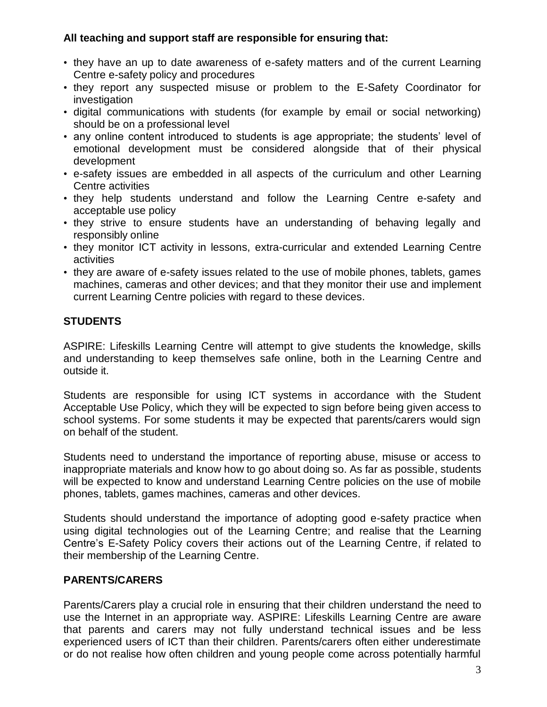#### **All teaching and support staff are responsible for ensuring that:**

- they have an up to date awareness of e-safety matters and of the current Learning Centre e-safety policy and procedures
- they report any suspected misuse or problem to the E-Safety Coordinator for investigation
- digital communications with students (for example by email or social networking) should be on a professional level
- any online content introduced to students is age appropriate; the students' level of emotional development must be considered alongside that of their physical development
- e-safety issues are embedded in all aspects of the curriculum and other Learning Centre activities
- they help students understand and follow the Learning Centre e-safety and acceptable use policy
- they strive to ensure students have an understanding of behaving legally and responsibly online
- they monitor ICT activity in lessons, extra-curricular and extended Learning Centre activities
- they are aware of e-safety issues related to the use of mobile phones, tablets, games machines, cameras and other devices; and that they monitor their use and implement current Learning Centre policies with regard to these devices.

#### **STUDENTS**

ASPIRE: Lifeskills Learning Centre will attempt to give students the knowledge, skills and understanding to keep themselves safe online, both in the Learning Centre and outside it.

Students are responsible for using ICT systems in accordance with the Student Acceptable Use Policy, which they will be expected to sign before being given access to school systems. For some students it may be expected that parents/carers would sign on behalf of the student.

Students need to understand the importance of reporting abuse, misuse or access to inappropriate materials and know how to go about doing so. As far as possible, students will be expected to know and understand Learning Centre policies on the use of mobile phones, tablets, games machines, cameras and other devices.

Students should understand the importance of adopting good e-safety practice when using digital technologies out of the Learning Centre; and realise that the Learning Centre's E-Safety Policy covers their actions out of the Learning Centre, if related to their membership of the Learning Centre.

#### **PARENTS/CARERS**

Parents/Carers play a crucial role in ensuring that their children understand the need to use the Internet in an appropriate way. ASPIRE: Lifeskills Learning Centre are aware that parents and carers may not fully understand technical issues and be less experienced users of ICT than their children. Parents/carers often either underestimate or do not realise how often children and young people come across potentially harmful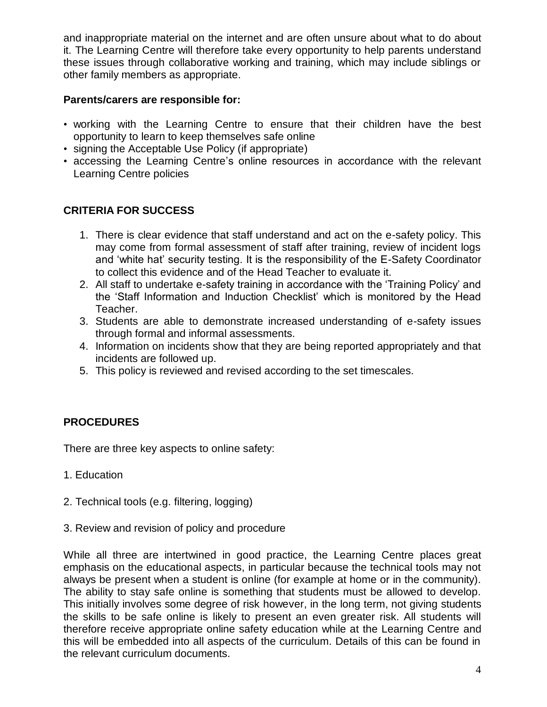and inappropriate material on the internet and are often unsure about what to do about it. The Learning Centre will therefore take every opportunity to help parents understand these issues through collaborative working and training, which may include siblings or other family members as appropriate.

#### **Parents/carers are responsible for:**

- working with the Learning Centre to ensure that their children have the best opportunity to learn to keep themselves safe online
- signing the Acceptable Use Policy (if appropriate)
- accessing the Learning Centre's online resources in accordance with the relevant Learning Centre policies

#### **CRITERIA FOR SUCCESS**

- 1. There is clear evidence that staff understand and act on the e-safety policy. This may come from formal assessment of staff after training, review of incident logs and 'white hat' security testing. It is the responsibility of the E-Safety Coordinator to collect this evidence and of the Head Teacher to evaluate it.
- 2. All staff to undertake e-safety training in accordance with the 'Training Policy' and the 'Staff Information and Induction Checklist' which is monitored by the Head Teacher.
- 3. Students are able to demonstrate increased understanding of e-safety issues through formal and informal assessments.
- 4. Information on incidents show that they are being reported appropriately and that incidents are followed up.
- 5. This policy is reviewed and revised according to the set timescales.

#### **PROCEDURES**

There are three key aspects to online safety:

- 1. Education
- 2. Technical tools (e.g. filtering, logging)
- 3. Review and revision of policy and procedure

While all three are intertwined in good practice, the Learning Centre places great emphasis on the educational aspects, in particular because the technical tools may not always be present when a student is online (for example at home or in the community). The ability to stay safe online is something that students must be allowed to develop. This initially involves some degree of risk however, in the long term, not giving students the skills to be safe online is likely to present an even greater risk. All students will therefore receive appropriate online safety education while at the Learning Centre and this will be embedded into all aspects of the curriculum. Details of this can be found in the relevant curriculum documents.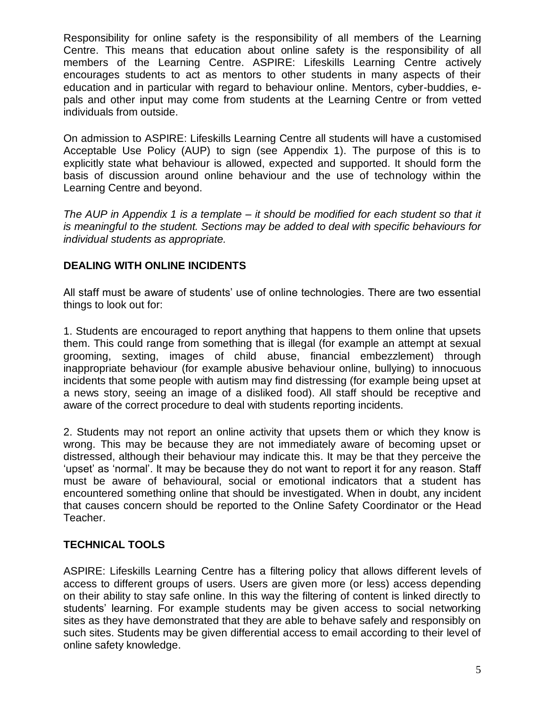Responsibility for online safety is the responsibility of all members of the Learning Centre. This means that education about online safety is the responsibility of all members of the Learning Centre. ASPIRE: Lifeskills Learning Centre actively encourages students to act as mentors to other students in many aspects of their education and in particular with regard to behaviour online. Mentors, cyber-buddies, epals and other input may come from students at the Learning Centre or from vetted individuals from outside.

On admission to ASPIRE: Lifeskills Learning Centre all students will have a customised Acceptable Use Policy (AUP) to sign (see Appendix 1). The purpose of this is to explicitly state what behaviour is allowed, expected and supported. It should form the basis of discussion around online behaviour and the use of technology within the Learning Centre and beyond.

*The AUP in Appendix 1 is a template – it should be modified for each student so that it is meaningful to the student. Sections may be added to deal with specific behaviours for individual students as appropriate.*

#### **DEALING WITH ONLINE INCIDENTS**

All staff must be aware of students' use of online technologies. There are two essential things to look out for:

1. Students are encouraged to report anything that happens to them online that upsets them. This could range from something that is illegal (for example an attempt at sexual grooming, sexting, images of child abuse, financial embezzlement) through inappropriate behaviour (for example abusive behaviour online, bullying) to innocuous incidents that some people with autism may find distressing (for example being upset at a news story, seeing an image of a disliked food). All staff should be receptive and aware of the correct procedure to deal with students reporting incidents.

2. Students may not report an online activity that upsets them or which they know is wrong. This may be because they are not immediately aware of becoming upset or distressed, although their behaviour may indicate this. It may be that they perceive the 'upset' as 'normal'. It may be because they do not want to report it for any reason. Staff must be aware of behavioural, social or emotional indicators that a student has encountered something online that should be investigated. When in doubt, any incident that causes concern should be reported to the Online Safety Coordinator or the Head Teacher.

#### **TECHNICAL TOOLS**

ASPIRE: Lifeskills Learning Centre has a filtering policy that allows different levels of access to different groups of users. Users are given more (or less) access depending on their ability to stay safe online. In this way the filtering of content is linked directly to students' learning. For example students may be given access to social networking sites as they have demonstrated that they are able to behave safely and responsibly on such sites. Students may be given differential access to email according to their level of online safety knowledge.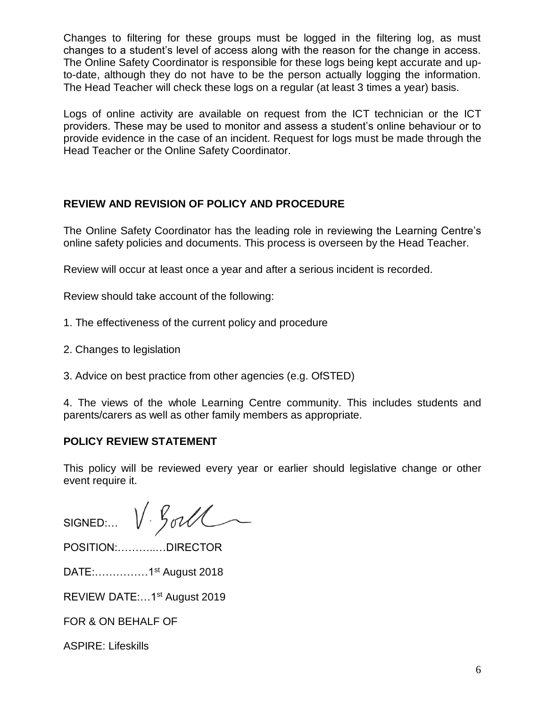Changes to filtering for these groups must be logged in the filtering log, as must changes to a student's level of access along with the reason for the change in access. The Online Safety Coordinator is responsible for these logs being kept accurate and upto-date, although they do not have to be the person actually logging the information. The Head Teacher will check these logs on a regular (at least 3 times a year) basis.

Logs of online activity are available on request from the ICT technician or the ICT providers. These may be used to monitor and assess a student's online behaviour or to provide evidence in the case of an incident. Request for logs must be made through the Head Teacher or the Online Safety Coordinator.

#### **REVIEW AND REVISION OF POLICY AND PROCEDURE**

The Online Safety Coordinator has the leading role in reviewing the Learning Centre's online safety policies and documents. This process is overseen by the Head Teacher.

Review will occur at least once a year and after a serious incident is recorded.

Review should take account of the following:

- 1. The effectiveness of the current policy and procedure
- 2. Changes to legislation
- 3. Advice on best practice from other agencies (e.g. OfSTED)

4. The views of the whole Learning Centre community. This includes students and parents/carers as well as other family members as appropriate.

#### **POLICY REVIEW STATEMENT**

This policy will be reviewed every year or earlier should legislative change or other event require it.

SIGNED:  $V \cdot \frac{6}{10}$ 

POSITION:………..…DIRECTOR

DATE:……………1st August 2018

REVIEW DATE:…1st August 2019

FOR & ON BEHALF OF

ASPIRE: Lifeskills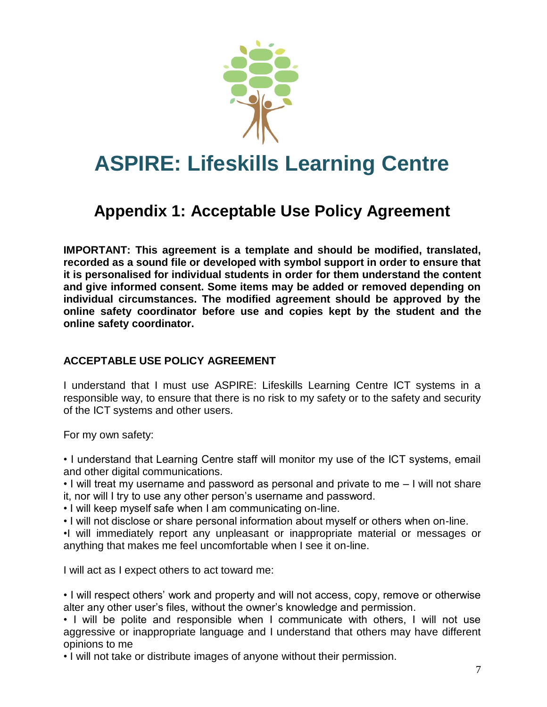

## **ASPIRE: Lifeskills Learning Centre**

### **Appendix 1: Acceptable Use Policy Agreement**

**IMPORTANT: This agreement is a template and should be modified, translated, recorded as a sound file or developed with symbol support in order to ensure that it is personalised for individual students in order for them understand the content and give informed consent. Some items may be added or removed depending on individual circumstances. The modified agreement should be approved by the online safety coordinator before use and copies kept by the student and the online safety coordinator.** 

#### **ACCEPTABLE USE POLICY AGREEMENT**

I understand that I must use ASPIRE: Lifeskills Learning Centre ICT systems in a responsible way, to ensure that there is no risk to my safety or to the safety and security of the ICT systems and other users.

For my own safety:

• I understand that Learning Centre staff will monitor my use of the ICT systems, email and other digital communications.

• I will treat my username and password as personal and private to me – I will not share it, nor will I try to use any other person's username and password.

- I will keep myself safe when I am communicating on-line.
- I will not disclose or share personal information about myself or others when on-line.

•I will immediately report any unpleasant or inappropriate material or messages or anything that makes me feel uncomfortable when I see it on-line.

I will act as I expect others to act toward me:

• I will respect others' work and property and will not access, copy, remove or otherwise alter any other user's files, without the owner's knowledge and permission.

• I will be polite and responsible when I communicate with others, I will not use aggressive or inappropriate language and I understand that others may have different opinions to me

• I will not take or distribute images of anyone without their permission.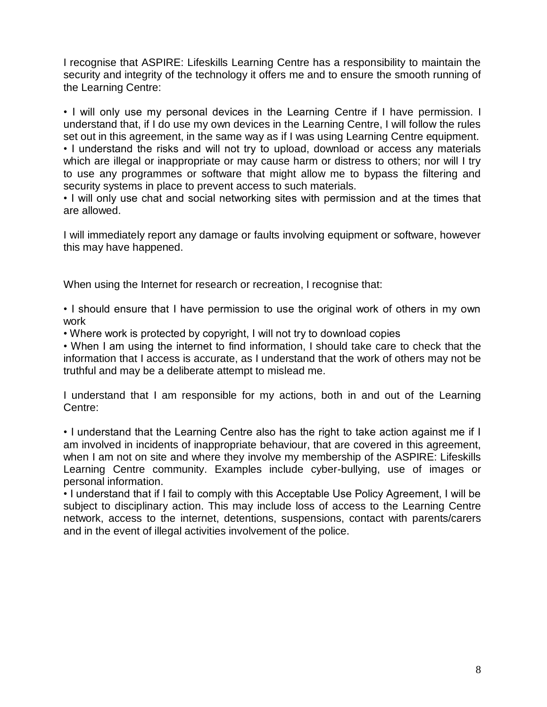I recognise that ASPIRE: Lifeskills Learning Centre has a responsibility to maintain the security and integrity of the technology it offers me and to ensure the smooth running of the Learning Centre:

• I will only use my personal devices in the Learning Centre if I have permission. I understand that, if I do use my own devices in the Learning Centre, I will follow the rules set out in this agreement, in the same way as if I was using Learning Centre equipment. • I understand the risks and will not try to upload, download or access any materials which are illegal or inappropriate or may cause harm or distress to others; nor will I try

to use any programmes or software that might allow me to bypass the filtering and security systems in place to prevent access to such materials.

• I will only use chat and social networking sites with permission and at the times that are allowed.

I will immediately report any damage or faults involving equipment or software, however this may have happened.

When using the Internet for research or recreation, I recognise that:

• I should ensure that I have permission to use the original work of others in my own work

• Where work is protected by copyright, I will not try to download copies

• When I am using the internet to find information, I should take care to check that the information that I access is accurate, as I understand that the work of others may not be truthful and may be a deliberate attempt to mislead me.

I understand that I am responsible for my actions, both in and out of the Learning Centre:

• I understand that the Learning Centre also has the right to take action against me if I am involved in incidents of inappropriate behaviour, that are covered in this agreement, when I am not on site and where they involve my membership of the ASPIRE: Lifeskills Learning Centre community. Examples include cyber-bullying, use of images or personal information.

• I understand that if I fail to comply with this Acceptable Use Policy Agreement, I will be subject to disciplinary action. This may include loss of access to the Learning Centre network, access to the internet, detentions, suspensions, contact with parents/carers and in the event of illegal activities involvement of the police.